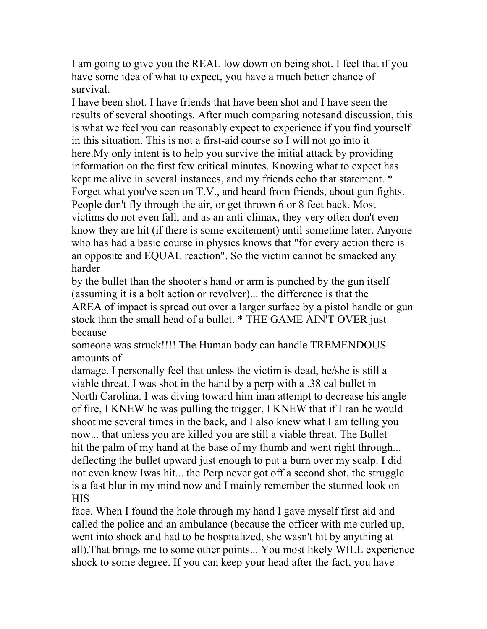I am going to give you the REAL low down on being shot. I feel that if you have some idea of what to expect, you have a much better chance of survival.

I have been shot. I have friends that have been shot and I have seen the results of several shootings. After much comparing notesand discussion, this is what we feel you can reasonably expect to experience if you find yourself in this situation. This is not a first-aid course so I will not go into it here.My only intent is to help you survive the initial attack by providing information on the first few critical minutes. Knowing what to expect has kept me alive in several instances, and my friends echo that statement. \* Forget what you've seen on T.V., and heard from friends, about gun fights. People don't fly through the air, or get thrown 6 or 8 feet back. Most victims do not even fall, and as an anti-climax, they very often don't even know they are hit (if there is some excitement) until sometime later. Anyone who has had a basic course in physics knows that "for every action there is an opposite and EQUAL reaction". So the victim cannot be smacked any harder

by the bullet than the shooter's hand or arm is punched by the gun itself (assuming it is a bolt action or revolver)... the difference is that the AREA of impact is spread out over a larger surface by a pistol handle or gun stock than the small head of a bullet. \* THE GAME AIN'T OVER just because

someone was struck!!!! The Human body can handle TREMENDOUS amounts of

damage. I personally feel that unless the victim is dead, he/she is still a viable threat. I was shot in the hand by a perp with a .38 cal bullet in North Carolina. I was diving toward him inan attempt to decrease his angle of fire, I KNEW he was pulling the trigger, I KNEW that if I ran he would shoot me several times in the back, and I also knew what I am telling you now... that unless you are killed you are still a viable threat. The Bullet hit the palm of my hand at the base of my thumb and went right through... deflecting the bullet upward just enough to put a burn over my scalp. I did not even know Iwas hit... the Perp never got off a second shot, the struggle is a fast blur in my mind now and I mainly remember the stunned look on HIS

face. When I found the hole through my hand I gave myself first-aid and called the police and an ambulance (because the officer with me curled up, went into shock and had to be hospitalized, she wasn't hit by anything at all).That brings me to some other points... You most likely WILL experience shock to some degree. If you can keep your head after the fact, you have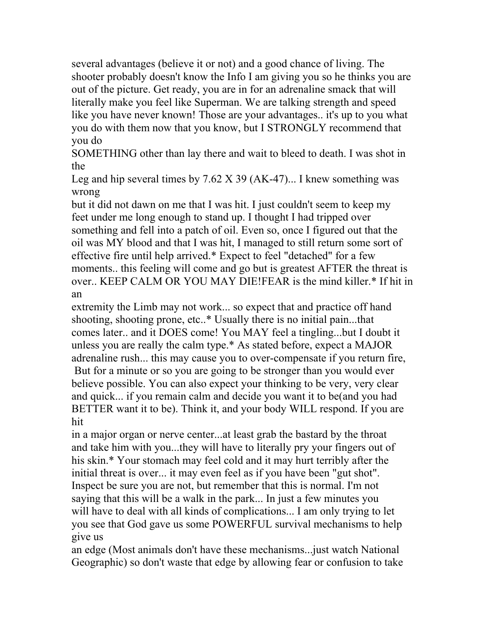several advantages (believe it or not) and a good chance of living. The shooter probably doesn't know the Info I am giving you so he thinks you are out of the picture. Get ready, you are in for an adrenaline smack that will literally make you feel like Superman. We are talking strength and speed like you have never known! Those are your advantages.. it's up to you what you do with them now that you know, but I STRONGLY recommend that you do

SOMETHING other than lay there and wait to bleed to death. I was shot in the

Leg and hip several times by 7.62 X 39 (AK-47)... I knew something was wrong

but it did not dawn on me that I was hit. I just couldn't seem to keep my feet under me long enough to stand up. I thought I had tripped over something and fell into a patch of oil. Even so, once I figured out that the oil was MY blood and that I was hit, I managed to still return some sort of effective fire until help arrived.\* Expect to feel "detached" for a few moments.. this feeling will come and go but is greatest AFTER the threat is over.. KEEP CALM OR YOU MAY DIE!FEAR is the mind killer.\* If hit in an

extremity the Limb may not work... so expect that and practice off hand shooting, shooting prone, etc..\* Usually there is no initial pain...that comes later.. and it DOES come! You MAY feel a tingling...but I doubt it unless you are really the calm type.\* As stated before, expect a MAJOR adrenaline rush... this may cause you to over-compensate if you return fire, But for a minute or so you are going to be stronger than you would ever believe possible. You can also expect your thinking to be very, very clear and quick... if you remain calm and decide you want it to be(and you had BETTER want it to be). Think it, and your body WILL respond. If you are hit

in a major organ or nerve center...at least grab the bastard by the throat and take him with you...they will have to literally pry your fingers out of his skin.\* Your stomach may feel cold and it may hurt terribly after the initial threat is over... it may even feel as if you have been "gut shot". Inspect be sure you are not, but remember that this is normal. I'm not saying that this will be a walk in the park... In just a few minutes you will have to deal with all kinds of complications... I am only trying to let you see that God gave us some POWERFUL survival mechanisms to help give us

an edge (Most animals don't have these mechanisms...just watch National Geographic) so don't waste that edge by allowing fear or confusion to take